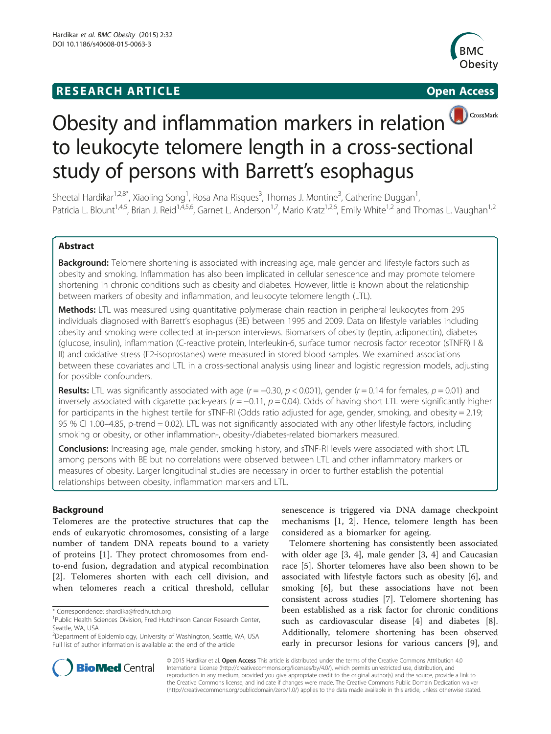## **RESEARCH ARTICLE Example 2014 12:30 The SEAR CH ACCESS**



# Obesity and inflammation markers in relation CrossMark to leukocyte telomere length in a cross-sectional study of persons with Barrett's esophagus

Sheetal Hardikar<sup>1,2,8\*</sup>, Xiaoling Song<sup>1</sup>, Rosa Ana Risques<sup>3</sup>, Thomas J. Montine<sup>3</sup>, Catherine Duggan<sup>1</sup> , Patricia L. Blount<sup>1,4,5</sup>, Brian J. Reid<sup>1,4,5,6</sup>, Garnet L. Anderson<sup>1,7</sup>, Mario Kratz<sup>1,2,6</sup>, Emily White<sup>1,2</sup> and Thomas L. Vaughan<sup>1,2</sup>

## Abstract

Background: Telomere shortening is associated with increasing age, male gender and lifestyle factors such as obesity and smoking. Inflammation has also been implicated in cellular senescence and may promote telomere shortening in chronic conditions such as obesity and diabetes. However, little is known about the relationship between markers of obesity and inflammation, and leukocyte telomere length (LTL).

Methods: LTL was measured using quantitative polymerase chain reaction in peripheral leukocytes from 295 individuals diagnosed with Barrett's esophagus (BE) between 1995 and 2009. Data on lifestyle variables including obesity and smoking were collected at in-person interviews. Biomarkers of obesity (leptin, adiponectin), diabetes (glucose, insulin), inflammation (C-reactive protein, Interleukin-6, surface tumor necrosis factor receptor (sTNFR) I & II) and oxidative stress (F2-isoprostanes) were measured in stored blood samples. We examined associations between these covariates and LTL in a cross-sectional analysis using linear and logistic regression models, adjusting for possible confounders.

Results: LTL was significantly associated with age ( $r = -0.30$ ,  $p < 0.001$ ), gender ( $r = 0.14$  for females,  $p = 0.01$ ) and inversely associated with cigarette pack-years ( $r = -0.11$ ,  $p = 0.04$ ). Odds of having short LTL were significantly higher for participants in the highest tertile for sTNF-RI (Odds ratio adjusted for age, gender, smoking, and obesity = 2.19; 95 % CI 1.00–4.85, p-trend = 0.02). LTL was not significantly associated with any other lifestyle factors, including smoking or obesity, or other inflammation-, obesity-/diabetes-related biomarkers measured.

Conclusions: Increasing age, male gender, smoking history, and sTNF-RI levels were associated with short LTL among persons with BE but no correlations were observed between LTL and other inflammatory markers or measures of obesity. Larger longitudinal studies are necessary in order to further establish the potential relationships between obesity, inflammation markers and LTL.

## Background

Telomeres are the protective structures that cap the ends of eukaryotic chromosomes, consisting of a large number of tandem DNA repeats bound to a variety of proteins [[1\]](#page-7-0). They protect chromosomes from endto-end fusion, degradation and atypical recombination [[2\]](#page-7-0). Telomeres shorten with each cell division, and when telomeres reach a critical threshold, cellular

senescence is triggered via DNA damage checkpoint mechanisms [[1, 2](#page-7-0)]. Hence, telomere length has been considered as a biomarker for ageing.

Telomere shortening has consistently been associated with older age [[3, 4\]](#page-7-0), male gender [\[3](#page-7-0), [4](#page-7-0)] and Caucasian race [[5\]](#page-7-0). Shorter telomeres have also been shown to be associated with lifestyle factors such as obesity [\[6](#page-7-0)], and smoking [[6\]](#page-7-0), but these associations have not been consistent across studies [\[7](#page-7-0)]. Telomere shortening has been established as a risk factor for chronic conditions such as cardiovascular disease [[4\]](#page-7-0) and diabetes [\[8](#page-7-0)]. Additionally, telomere shortening has been observed early in precursor lesions for various cancers [\[9](#page-7-0)], and



© 2015 Hardikar et al. Open Access This article is distributed under the terms of the Creative Commons Attribution 4.0 International License [\(http://creativecommons.org/licenses/by/4.0/](http://creativecommons.org/licenses/by/4.0/)), which permits unrestricted use, distribution, and reproduction in any medium, provided you give appropriate credit to the original author(s) and the source, provide a link to the Creative Commons license, and indicate if changes were made. The Creative Commons Public Domain Dedication waiver [\(http://creativecommons.org/publicdomain/zero/1.0/](http://creativecommons.org/publicdomain/zero/1.0/)) applies to the data made available in this article, unless otherwise stated.

<sup>\*</sup> Correspondence: [shardika@fredhutch.org](mailto:shardika@fredhutch.org) <sup>1</sup>

<sup>&</sup>lt;sup>1</sup>Public Health Sciences Division, Fred Hutchinson Cancer Research Center, Seattle, WA, USA

<sup>2</sup> Department of Epidemiology, University of Washington, Seattle, WA, USA Full list of author information is available at the end of the article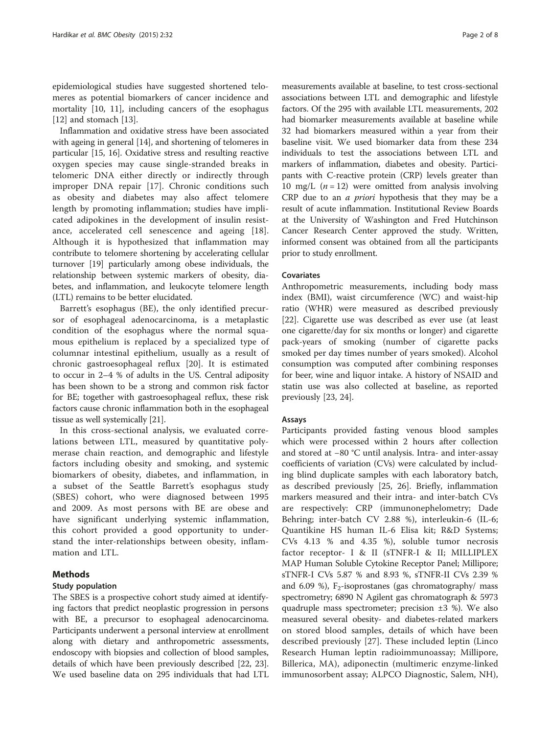epidemiological studies have suggested shortened telomeres as potential biomarkers of cancer incidence and mortality [\[10, 11\]](#page-7-0), including cancers of the esophagus [[12\]](#page-7-0) and stomach [\[13](#page-7-0)].

Inflammation and oxidative stress have been associated with ageing in general [\[14](#page-7-0)], and shortening of telomeres in particular [[15](#page-7-0), [16\]](#page-7-0). Oxidative stress and resulting reactive oxygen species may cause single-stranded breaks in telomeric DNA either directly or indirectly through improper DNA repair [[17\]](#page-7-0). Chronic conditions such as obesity and diabetes may also affect telomere length by promoting inflammation; studies have implicated adipokines in the development of insulin resistance, accelerated cell senescence and ageing [\[18](#page-7-0)]. Although it is hypothesized that inflammation may contribute to telomere shortening by accelerating cellular turnover [\[19](#page-7-0)] particularly among obese individuals, the relationship between systemic markers of obesity, diabetes, and inflammation, and leukocyte telomere length (LTL) remains to be better elucidated.

Barrett's esophagus (BE), the only identified precursor of esophageal adenocarcinoma, is a metaplastic condition of the esophagus where the normal squamous epithelium is replaced by a specialized type of columnar intestinal epithelium, usually as a result of chronic gastroesophageal reflux [[20](#page-7-0)]. It is estimated to occur in 2–4 % of adults in the US. Central adiposity has been shown to be a strong and common risk factor for BE; together with gastroesophageal reflux, these risk factors cause chronic inflammation both in the esophageal tissue as well systemically [\[21](#page-7-0)].

In this cross-sectional analysis, we evaluated correlations between LTL, measured by quantitative polymerase chain reaction, and demographic and lifestyle factors including obesity and smoking, and systemic biomarkers of obesity, diabetes, and inflammation, in a subset of the Seattle Barrett's esophagus study (SBES) cohort, who were diagnosed between 1995 and 2009. As most persons with BE are obese and have significant underlying systemic inflammation, this cohort provided a good opportunity to understand the inter-relationships between obesity, inflammation and LTL.

### Methods

#### Study population

The SBES is a prospective cohort study aimed at identifying factors that predict neoplastic progression in persons with BE, a precursor to esophageal adenocarcinoma. Participants underwent a personal interview at enrollment along with dietary and anthropometric assessments, endoscopy with biopsies and collection of blood samples, details of which have been previously described [\[22, 23](#page-7-0)]. We used baseline data on 295 individuals that had LTL

measurements available at baseline, to test cross-sectional associations between LTL and demographic and lifestyle factors. Of the 295 with available LTL measurements, 202 had biomarker measurements available at baseline while 32 had biomarkers measured within a year from their baseline visit. We used biomarker data from these 234 individuals to test the associations between LTL and markers of inflammation, diabetes and obesity. Participants with C-reactive protein (CRP) levels greater than 10 mg/L  $(n = 12)$  were omitted from analysis involving CRP due to an a priori hypothesis that they may be a result of acute inflammation. Institutional Review Boards at the University of Washington and Fred Hutchinson Cancer Research Center approved the study. Written, informed consent was obtained from all the participants prior to study enrollment.

#### Covariates

Anthropometric measurements, including body mass index (BMI), waist circumference (WC) and waist-hip ratio (WHR) were measured as described previously [[22\]](#page-7-0). Cigarette use was described as ever use (at least one cigarette/day for six months or longer) and cigarette pack-years of smoking (number of cigarette packs smoked per day times number of years smoked). Alcohol consumption was computed after combining responses for beer, wine and liquor intake. A history of NSAID and statin use was also collected at baseline, as reported previously [\[23](#page-7-0), [24](#page-7-0)].

#### Assays

Participants provided fasting venous blood samples which were processed within 2 hours after collection and stored at −80 °C until analysis. Intra- and inter-assay coefficients of variation (CVs) were calculated by including blind duplicate samples with each laboratory batch, as described previously [\[25](#page-7-0), [26](#page-7-0)]. Briefly, inflammation markers measured and their intra- and inter-batch CVs are respectively: CRP (immunonephelometry; Dade Behring; inter-batch CV 2.88 %), interleukin-6 (IL-6; Quantikine HS human IL-6 Elisa kit; R&D Systems; CVs 4.13 % and 4.35 %), soluble tumor necrosis factor receptor- I & II (sTNFR-I & II; MILLIPLEX MAP Human Soluble Cytokine Receptor Panel; Millipore; sTNFR-I CVs 5.87 % and 8.93 %, sTNFR-II CVs 2.39 % and 6.09 %),  $F_2$ -isoprostanes (gas chromatography/ mass spectrometry; 6890 N Agilent gas chromatograph & 5973 quadruple mass spectrometer; precision  $\pm 3$  %). We also measured several obesity- and diabetes-related markers on stored blood samples, details of which have been described previously [\[27](#page-7-0)]. These included leptin (Linco Research Human leptin radioimmunoassay; Millipore, Billerica, MA), adiponectin (multimeric enzyme-linked immunosorbent assay; ALPCO Diagnostic, Salem, NH),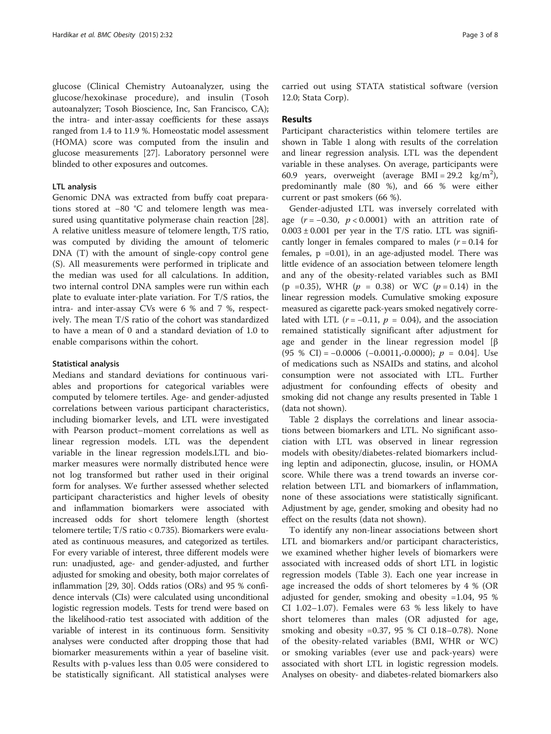glucose (Clinical Chemistry Autoanalyzer, using the glucose/hexokinase procedure), and insulin (Tosoh autoanalyzer; Tosoh Bioscience, Inc, San Francisco, CA); the intra- and inter-assay coefficients for these assays ranged from 1.4 to 11.9 %. Homeostatic model assessment (HOMA) score was computed from the insulin and glucose measurements [\[27\]](#page-7-0). Laboratory personnel were blinded to other exposures and outcomes.

## LTL analysis

Genomic DNA was extracted from buffy coat preparations stored at −80 °C and telomere length was measured using quantitative polymerase chain reaction [\[28](#page-7-0)]. A relative unitless measure of telomere length, T/S ratio, was computed by dividing the amount of telomeric DNA (T) with the amount of single-copy control gene (S). All measurements were performed in triplicate and the median was used for all calculations. In addition, two internal control DNA samples were run within each plate to evaluate inter-plate variation. For T/S ratios, the intra- and inter-assay CVs were 6 % and 7 %, respectively. The mean T/S ratio of the cohort was standardized to have a mean of 0 and a standard deviation of 1.0 to enable comparisons within the cohort.

#### Statistical analysis

Medians and standard deviations for continuous variables and proportions for categorical variables were computed by telomere tertiles. Age- and gender-adjusted correlations between various participant characteristics, including biomarker levels, and LTL were investigated with Pearson product–moment correlations as well as linear regression models. LTL was the dependent variable in the linear regression models.LTL and biomarker measures were normally distributed hence were not log transformed but rather used in their original form for analyses. We further assessed whether selected participant characteristics and higher levels of obesity and inflammation biomarkers were associated with increased odds for short telomere length (shortest telomere tertile; T/S ratio < 0.735). Biomarkers were evaluated as continuous measures, and categorized as tertiles. For every variable of interest, three different models were run: unadjusted, age- and gender-adjusted, and further adjusted for smoking and obesity, both major correlates of inflammation [[29](#page-7-0), [30](#page-7-0)]. Odds ratios (ORs) and 95 % confidence intervals (CIs) were calculated using unconditional logistic regression models. Tests for trend were based on the likelihood-ratio test associated with addition of the variable of interest in its continuous form. Sensitivity analyses were conducted after dropping those that had biomarker measurements within a year of baseline visit. Results with p-values less than 0.05 were considered to be statistically significant. All statistical analyses were carried out using STATA statistical software (version 12.0; Stata Corp).

## Results

Participant characteristics within telomere tertiles are shown in Table [1](#page-3-0) along with results of the correlation and linear regression analysis. LTL was the dependent variable in these analyses. On average, participants were 60.9 years, overweight (average BMI =  $29.2 \text{ kg/m}^2$ ), predominantly male (80 %), and 66 % were either current or past smokers (66 %).

Gender-adjusted LTL was inversely correlated with age  $(r = -0.30, p < 0.0001)$  with an attrition rate of  $0.003 \pm 0.001$  per year in the T/S ratio. LTL was significantly longer in females compared to males  $(r = 0.14$  for females,  $p = 0.01$ ), in an age-adjusted model. There was little evidence of an association between telomere length and any of the obesity-related variables such as BMI (p = 0.35), WHR ( $p = 0.38$ ) or WC ( $p = 0.14$ ) in the linear regression models. Cumulative smoking exposure measured as cigarette pack-years smoked negatively correlated with LTL ( $r = -0.11$ ,  $p = 0.04$ ), and the association remained statistically significant after adjustment for age and gender in the linear regression model [β (95 % CI) =  $-0.0006$  ( $-0.0011, -0.0000$ );  $p = 0.04$ ]. Use of medications such as NSAIDs and statins, and alcohol consumption were not associated with LTL. Further adjustment for confounding effects of obesity and smoking did not change any results presented in Table [1](#page-3-0) (data not shown).

Table [2](#page-3-0) displays the correlations and linear associations between biomarkers and LTL. No significant association with LTL was observed in linear regression models with obesity/diabetes-related biomarkers including leptin and adiponectin, glucose, insulin, or HOMA score. While there was a trend towards an inverse correlation between LTL and biomarkers of inflammation, none of these associations were statistically significant. Adjustment by age, gender, smoking and obesity had no effect on the results (data not shown).

To identify any non-linear associations between short LTL and biomarkers and/or participant characteristics, we examined whether higher levels of biomarkers were associated with increased odds of short LTL in logistic regression models (Table [3\)](#page-4-0). Each one year increase in age increased the odds of short telomeres by 4 % (OR adjusted for gender, smoking and obesity =1.04, 95 % CI 1.02–1.07). Females were 63 % less likely to have short telomeres than males (OR adjusted for age, smoking and obesity =0.37, 95 % CI 0.18–0.78). None of the obesity-related variables (BMI, WHR or WC) or smoking variables (ever use and pack-years) were associated with short LTL in logistic regression models. Analyses on obesity- and diabetes-related biomarkers also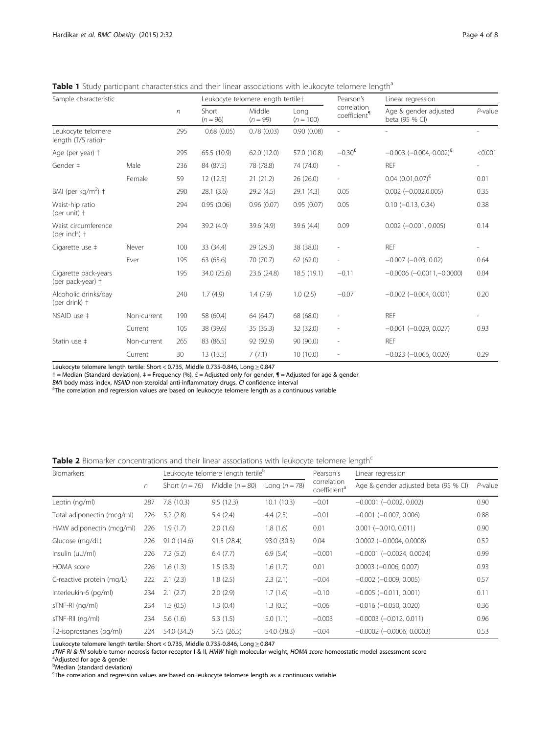<span id="page-3-0"></span>Table 1 Study participant characteristics and their linear associations with leukocyte telomere length<sup>a</sup>

| Sample characteristic                     |             | $\sqrt{n}$ | Leukocyte telomere length tertilet |                      |                     | Pearson's                               | Linear regression                       |                          |
|-------------------------------------------|-------------|------------|------------------------------------|----------------------|---------------------|-----------------------------------------|-----------------------------------------|--------------------------|
|                                           |             |            | Short<br>$(n = 96)$                | Middle<br>$(n = 99)$ | Long<br>$(n = 100)$ | correlation<br>coefficient <sup>1</sup> | Age & gender adjusted<br>beta (95 % CI) | $P$ -value               |
| Leukocyte telomere<br>length (T/S ratio)+ |             | 295        | 0.68(0.05)                         | 0.78(0.03)           | 0.90(0.08)          | ٠                                       |                                         |                          |
| Age (per year) +                          |             | 295        | 65.5 (10.9)                        | 62.0(12.0)           | 57.0 (10.8)         | $-0.30^{\text{E}}$                      | $-0.003$ $(-0.004,-0.002)^{E}$          | < 0.001                  |
| Gender ‡                                  | Male        | 236        | 84 (87.5)                          | 78 (78.8)            | 74 (74.0)           | $\overline{a}$                          | <b>REF</b>                              | $\overline{\phantom{0}}$ |
|                                           | Female      | 59         | 12 (12.5)                          | 21(21.2)             | 26(26.0)            | $\overline{a}$                          | $0.04$ $(0.01, 0.07)^{\epsilon}$        | 0.01                     |
| BMI (per kg/m <sup>2</sup> ) +            |             | 290        | 28.1(3.6)                          | 29.2(4.5)            | 29.1(4.3)           | 0.05                                    | $0.002 (-0.002, 0.005)$                 | 0.35                     |
| Waist-hip ratio<br>(per unit) $\dagger$   |             | 294        | 0.95(0.06)                         | 0.96(0.07)           | 0.95(0.07)          | 0.05                                    | $0.10 (-0.13, 0.34)$                    | 0.38                     |
| Waist circumference<br>(per inch) +       |             | 294        | 39.2 (4.0)                         | 39.6 (4.9)           | 39.6 (4.4)          | 0.09                                    | $0.002$ (-0.001, 0.005)                 | 0.14                     |
| Cigarette use ‡                           | Never       | 100        | 33 (34.4)                          | 29 (29.3)            | 38 (38.0)           |                                         | <b>RFF</b>                              |                          |
|                                           | Fver        | 195        | 63 (65.6)                          | 70 (70.7)            | 62(62.0)            | $\overline{\phantom{0}}$                | $-0.007$ $(-0.03, 0.02)$                | 0.64                     |
| Cigarette pack-years<br>(per pack-year) + |             | 195        | 34.0 (25.6)                        | 23.6 (24.8)          | 18.5(19.1)          | $-0.11$                                 | $-0.0006$ $(-0.0011,-0.0000)$           | 0.04                     |
| Alcoholic drinks/day<br>(per drink) +     |             | 240        | 1.7(4.9)                           | 1.4(7.9)             | 1.0(2.5)            | $-0.07$                                 | $-0.002$ $(-0.004, 0.001)$              | 0.20                     |
| NSAID use #                               | Non-current | 190        | 58 (60.4)                          | 64 (64.7)            | 68 (68.0)           |                                         | <b>REF</b>                              |                          |
|                                           | Current     | 105        | 38 (39.6)                          | 35 (35.3)            | 32 (32.0)           | $\overline{a}$                          | $-0.001$ $(-0.029, 0.027)$              | 0.93                     |
| Statin use ‡                              | Non-current | 265        | 83 (86.5)                          | 92 (92.9)            | 90 (90.0)           | L,                                      | <b>REF</b>                              |                          |
|                                           | Current     | 30         | 13 (13.5)                          | 7(7.1)               | 10(10.0)            | $\overline{\phantom{0}}$                | $-0.023$ $(-0.066, 0.020)$              | 0.29                     |

Leukocyte telomere length tertile: Short < 0.735, Middle 0.735-0.846, Long ≥ 0.847

† = Median (Standard deviation), ‡ = Frequency (%), ₤ = Adjusted only for gender, ¶ = Adjusted for age & gender

BMI body mass index, NSAID non-steroidal anti-inflammatory drugs, CI confidence interval

The correlation and regression values are based on leukocyte telomere length as a continuous variable

Table 2 Biomarker concentrations and their linear associations with leukocyte telomere length<sup>c</sup>

| <b>Biomarkers</b>          |     |                    | Leukocyte telomere length tertile <sup>b</sup> |               | Pearson's                               | Linear regression                    |            |  |
|----------------------------|-----|--------------------|------------------------------------------------|---------------|-----------------------------------------|--------------------------------------|------------|--|
|                            | n   | Short ( $n = 76$ ) | Middle $(n = 80)$                              | Long $(n=78)$ | correlation<br>coefficient <sup>a</sup> | Age & gender adjusted beta (95 % CI) | $P$ -value |  |
| Leptin (ng/ml)             | 287 | 7.8(10.3)          | 9.5(12.3)                                      | 10.1(10.3)    | $-0.01$                                 | $-0.0001$ $(-0.002, 0.002)$          | 0.90       |  |
| Total adiponectin (mcg/ml) | 226 | 5.2(2.8)           | 5.4(2.4)                                       | 4.4(2.5)      | $-0.01$                                 | $-0.001$ $(-0.007, 0.006)$           | 0.88       |  |
| HMW adiponectin (mcg/ml)   | 226 | 1.9(1.7)           | 2.0(1.6)                                       | 1.8(1.6)      | 0.01                                    | $0.001$ ( $-0.010$ , $0.011$ )       | 0.90       |  |
| Glucose (mg/dL)            | 226 | 91.0(14.6)         | 91.5 (28.4)                                    | 93.0 (30.3)   | 0.04                                    | $0.0002$ ( $-0.0004$ , $0.0008$ )    | 0.52       |  |
| Insulin (uU/ml)            | 226 | 7.2(5.2)           | 6.4(7.7)                                       | 6.9(5.4)      | $-0.001$                                | $-0.0001$ $(-0.0024, 0.0024)$        | 0.99       |  |
| HOMA score                 | 226 | 1.6(1.3)           | 1.5(3.3)                                       | 1.6(1.7)      | 0.01                                    | $0.0003$ ( $-0.006$ , $0.007$ )      | 0.93       |  |
| C-reactive protein (mg/L)  | 222 | 2.1(2.3)           | 1.8(2.5)                                       | 2.3(2.1)      | $-0.04$                                 | $-0.002$ ( $-0.009$ , 0.005)         | 0.57       |  |
| Interleukin-6 (pg/ml)      | 234 | 2.1(2.7)           | 2.0(2.9)                                       | 1.7(1.6)      | $-0.10$                                 | $-0.005$ $(-0.011, 0.001)$           | 0.11       |  |
| sTNF-RI (ng/ml)            | 234 | 1.5(0.5)           | 1.3(0.4)                                       | 1.3(0.5)      | $-0.06$                                 | $-0.016$ ( $-0.050$ , 0.020)         | 0.36       |  |
| sTNF-RII (ng/ml)           | 234 | 5.6(1.6)           | 5.3(1.5)                                       | 5.0(1.1)      | $-0.003$                                | $-0.0003$ $(-0.012, 0.011)$          | 0.96       |  |
| F2-isoprostanes (pg/ml)    | 224 | 54.0 (34.2)        | 57.5 (26.5)                                    | 54.0 (38.3)   | $-0.04$                                 | $-0.0002$ ( $-0.0006$ , 0.0003)      | 0.53       |  |

Leukocyte telomere length tertile: Short < 0.735, Middle 0.735-0.846, Long ≥ 0.847

sTNF-RI & RII soluble tumor necrosis factor receptor I & II, HMW high molecular weight, HOMA score homeostatic model assessment score

<sup>a</sup>Adjusted for age & gender<br><sup>b</sup>Median (standard deviation)

The correlation and regression values are based on leukocyte telomere length as a continuous variable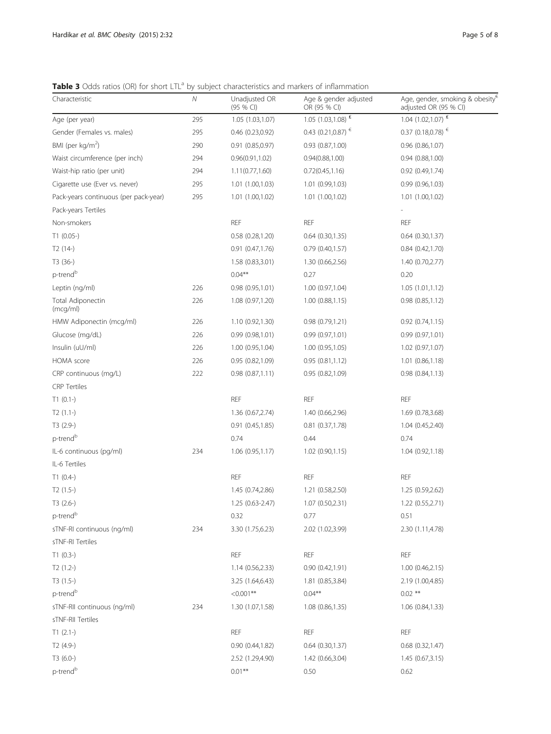<span id="page-4-0"></span>Table 3 Odds ratios (OR) for short LTL<sup>a</sup> by subject characteristics and markers of inflammation

| Characteristic                        | ${\cal N}$ | Unadjusted OR<br>(95 % CI) | Age & gender adjusted<br>OR (95 % CI) | Age, gender, smoking & obesity <sup><math>\epsilon</math></sup><br>adjusted OR (95 % CI) |
|---------------------------------------|------------|----------------------------|---------------------------------------|------------------------------------------------------------------------------------------|
| Age (per year)                        | 295        | 1.05 (1.03,1.07)           | $1.05(1.03, 1.08)^{E}$                | 1.04 $(1.02, 1.07)$ <sup>£</sup>                                                         |
| Gender (Females vs. males)            | 295        | 0.46(0.23,0.92)            | 0.43 (0.21,0.87) $\epsilon$           | $0.37$ (0.18,0.78) €                                                                     |
| BMI (per kg/m <sup>2</sup> )          | 290        | $0.91$ $(0.85, 0.97)$      | $0.93$ $(0.87, 1.00)$                 | 0.96(0.86, 1.07)                                                                         |
| Waist circumference (per inch)        | 294        | 0.96(0.91, 1.02)           | 0.94(0.88, 1.00)                      | 0.94(0.88, 1.00)                                                                         |
| Waist-hip ratio (per unit)            | 294        | 1.11(0.77, 1.60)           | 0.72(0.45, 1.16)                      | 0.92(0.49,1.74)                                                                          |
| Cigarette use (Ever vs. never)        | 295        | 1.01 (1.00,1.03)           | 1.01 (0.99,1.03)                      | 0.99(0.96, 1.03)                                                                         |
| Pack-years continuous (per pack-year) | 295        | 1.01 (1.00,1.02)           | 1.01 (1.00,1.02)                      | 1.01(1.00, 1.02)                                                                         |
| Pack-years Tertiles                   |            |                            |                                       |                                                                                          |
| Non-smokers                           |            | <b>REF</b>                 | <b>REF</b>                            | <b>REF</b>                                                                               |
| $T1(0.05-)$                           |            | 0.58(0.28, 1.20)           | $0.64$ $(0.30, 1.35)$                 | 0.64(0.30, 1.37)                                                                         |
| $T2(14-)$                             |            | 0.91(0.47,1.76)            | 0.79(0.40, 1.57)                      | 0.84(0.42,1.70)                                                                          |
| T3 (36-)                              |            | 1.58 (0.83,3.01)           | 1.30 (0.66,2.56)                      | 1.40 (0.70,2.77)                                                                         |
| p-trend <sup>b</sup>                  |            | $0.04***$                  | 0.27                                  | 0.20                                                                                     |
| Leptin (ng/ml)                        | 226        | 0.98(0.95,1.01)            | 1.00 (0.97,1.04)                      | 1.05(1.01, 1.12)                                                                         |
| Total Adiponectin<br>(mcg/ml)         | 226        | 1.08 (0.97,1.20)           | 1.00(0.88, 1.15)                      | 0.98(0.85, 1.12)                                                                         |
| HMW Adiponectin (mcg/ml)              | 226        | 1.10 (0.92,1.30)           | 0.98 (0.79,1.21)                      | 0.92(0.74,1.15)                                                                          |
| Glucose (mg/dL)                       | 226        | 0.99(0.98, 1.01)           | 0.99(0.97,1.01)                       | 0.99(0.97,1.01)                                                                          |
| Insulin (uU/ml)                       | 226        | 1.00 (0.95,1.04)           | 1.00(0.95, 1.05)                      | 1.02 (0.97,1.07)                                                                         |
| HOMA score                            | 226        | 0.95 (0.82,1.09)           | 0.95(0.81, 1.12)                      | 1.01(0.86, 1.18)                                                                         |
| CRP continuous (mg/L)                 | 222        | 0.98(0.87,1.11)            | 0.95(0.82,1.09)                       | 0.98(0.84, 1.13)                                                                         |
| <b>CRP</b> Tertiles                   |            |                            |                                       |                                                                                          |
| $T1(0.1-)$                            |            | <b>REF</b>                 | <b>REF</b>                            | <b>REF</b>                                                                               |
| $T2(1.1-)$                            |            | 1.36 (0.67,2.74)           | 1.40 (0.66,2.96)                      | 1.69 (0.78,3.68)                                                                         |
| $T3(2.9-)$                            |            | 0.91(0.45, 1.85)           | 0.81 (0.37,1.78)                      | 1.04(0.45, 2.40)                                                                         |
| p-trend <sup>b</sup>                  |            | 0.74                       | 0.44                                  | 0.74                                                                                     |
| IL-6 continuous (pg/ml)               | 234        | 1.06(0.95,1.17)            | 1.02(0.90, 1.15)                      | 1.04(0.92,1.18)                                                                          |
| IL-6 Tertiles                         |            |                            |                                       |                                                                                          |
| $T1(0.4-)$                            |            | <b>REF</b>                 | <b>REF</b>                            | <b>REF</b>                                                                               |
| $T2(1.5-)$                            |            | 1.45 (0.74,2.86)           | 1.21 (0.58,2.50)                      | 1.25 (0.59,2.62)                                                                         |
| $T3(2.6-)$                            |            | $1.25(0.63 - 2.47)$        | 1.07 (0.50,2.31)                      | 1.22 (0.55,2.71)                                                                         |
| p-trend <sup>b</sup>                  |            | 0.32                       | 0.77                                  | 0.51                                                                                     |
| sTNF-RI continuous (ng/ml)            | 234        | 3.30 (1.75,6.23)           | 2.02 (1.02,3.99)                      | 2.30 (1.11,4.78)                                                                         |
| sTNF-RI Tertiles                      |            |                            |                                       |                                                                                          |
| $T1(0.3-)$                            |            | <b>REF</b>                 | <b>REF</b>                            | <b>REF</b>                                                                               |
| $T2(1.2-)$                            |            | 1.14(0.56, 2.33)           | 0.90(0.42,1.91)                       | 1.00 (0.46,2.15)                                                                         |
| $T3(1.5-)$                            |            | 3.25 (1.64,6.43)           | 1.81 (0.85,3.84)                      | 2.19 (1.00,4.85)                                                                         |
| p-trend <sup>b</sup>                  |            | $< 0.001$ **               | $0.04***$                             | $0.02$ **                                                                                |
| sTNF-RII continuous (ng/ml)           | 234        | 1.30 (1.07,1.58)           | 1.08 (0.86,1.35)                      | 1.06 (0.84,1.33)                                                                         |
| sTNF-RII Tertiles                     |            |                            |                                       |                                                                                          |
| $T1(2.1-)$                            |            | <b>REF</b>                 | <b>REF</b>                            | <b>REF</b>                                                                               |
| $T2(4.9-)$                            |            | 0.90(0.44, 1.82)           | $0.64$ $(0.30, 1.37)$                 | $0.68$ $(0.32, 1.47)$                                                                    |
| $T3(6.0-)$                            |            | 2.52 (1.29,4.90)           | 1.42 (0.66,3.04)                      | 1.45(0.67, 3.15)                                                                         |
| p-trend <sup>b</sup>                  |            | $0.01***$                  | 0.50                                  | 0.62                                                                                     |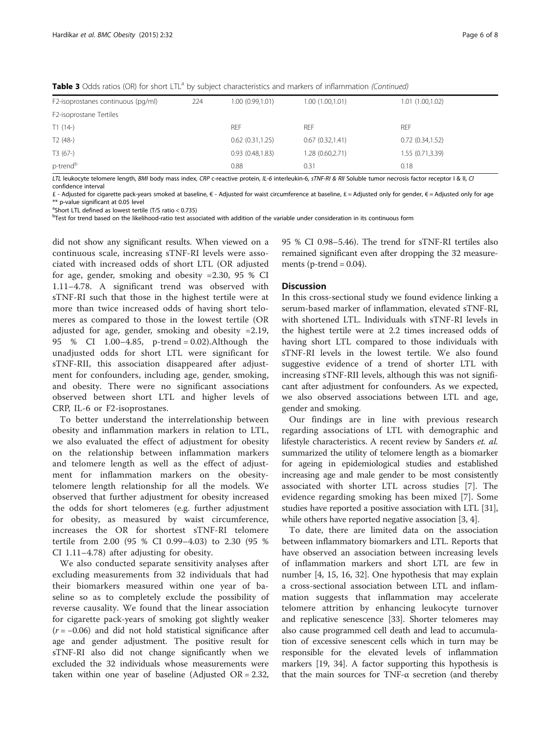Table 3 Odds ratios (OR) for short LTL<sup>a</sup> by subject characteristics and markers of inflammation (Continued)

| F2-isoprostanes continuous (pg/ml) | 224 | 1.00 (0.99,1.01) | 1.00(1.00, 1.01) | 1.01 (1.00,1.02) |
|------------------------------------|-----|------------------|------------------|------------------|
| F2-isoprostane Tertiles            |     |                  |                  |                  |
| $T1(14-)$                          |     | <b>REF</b>       | <b>REF</b>       | <b>REF</b>       |
| $T2(48-)$                          |     | 0.62(0.31, 1.25) | 0.67(0.32,1.41)  | 0.72(0.34, 1.52) |
| $T3(67-)$                          |     | 0.93(0.48, 1.83) | 1.28 (0.60,2.71) | 1.55 (0.71,3.39) |
| p-trend <sup>b</sup>               |     | 0.88             | 0.31             | 0.18             |

LTL leukocyte telomere length, BMI body mass index, CRP c-reactive protein, IL-6 interleukin-6, sTNF-RI & RII Soluble tumor necrosis factor receptor I & II, CI confidence interval

£ - Adjusted for cigarette pack-years smoked at baseline, € - Adjusted for waist circumference at baseline, £ = Adjusted only for gender, € = Adjusted only for age \*\* p-value significant at 0.05 level

<sup>a</sup>Short LTL defined as lowest tertile (T/S ratio < 0.735)

bTest for trend based on the likelihood-ratio test associated with addition of the variable under consideration in its continuous form

did not show any significant results. When viewed on a continuous scale, increasing sTNF-RI levels were associated with increased odds of short LTL (OR adjusted for age, gender, smoking and obesity =2.30, 95 % CI 1.11–4.78. A significant trend was observed with sTNF-RI such that those in the highest tertile were at more than twice increased odds of having short telomeres as compared to those in the lowest tertile (OR adjusted for age, gender, smoking and obesity =2.19, 95 % CI 1.00–4.85, p-trend = 0.02).Although the unadjusted odds for short LTL were significant for sTNF-RII, this association disappeared after adjustment for confounders, including age, gender, smoking, and obesity. There were no significant associations observed between short LTL and higher levels of CRP, IL-6 or F2-isoprostanes.

To better understand the interrelationship between obesity and inflammation markers in relation to LTL, we also evaluated the effect of adjustment for obesity on the relationship between inflammation markers and telomere length as well as the effect of adjustment for inflammation markers on the obesitytelomere length relationship for all the models. We observed that further adjustment for obesity increased the odds for short telomeres (e.g. further adjustment for obesity, as measured by waist circumference, increases the OR for shortest sTNF-RI telomere tertile from 2.00 (95 % CI 0.99–4.03) to 2.30 (95 % CI 1.11–4.78) after adjusting for obesity.

We also conducted separate sensitivity analyses after excluding measurements from 32 individuals that had their biomarkers measured within one year of baseline so as to completely exclude the possibility of reverse causality. We found that the linear association for cigarette pack-years of smoking got slightly weaker  $(r = -0.06)$  and did not hold statistical significance after age and gender adjustment. The positive result for sTNF-RI also did not change significantly when we excluded the 32 individuals whose measurements were taken within one year of baseline (Adjusted OR = 2.32,

95 % CI 0.98–5.46). The trend for sTNF-RI tertiles also remained significant even after dropping the 32 measurements ( $p$ -trend = 0.04).

#### **Discussion**

In this cross-sectional study we found evidence linking a serum-based marker of inflammation, elevated sTNF-RI, with shortened LTL. Individuals with sTNF-RI levels in the highest tertile were at 2.2 times increased odds of having short LTL compared to those individuals with sTNF-RI levels in the lowest tertile. We also found suggestive evidence of a trend of shorter LTL with increasing sTNF-RII levels, although this was not significant after adjustment for confounders. As we expected, we also observed associations between LTL and age, gender and smoking.

Our findings are in line with previous research regarding associations of LTL with demographic and lifestyle characteristics. A recent review by Sanders et. al. summarized the utility of telomere length as a biomarker for ageing in epidemiological studies and established increasing age and male gender to be most consistently associated with shorter LTL across studies [[7\]](#page-7-0). The evidence regarding smoking has been mixed [\[7](#page-7-0)]. Some studies have reported a positive association with LTL [[31](#page-7-0)], while others have reported negative association [[3, 4](#page-7-0)].

To date, there are limited data on the association between inflammatory biomarkers and LTL. Reports that have observed an association between increasing levels of inflammation markers and short LTL are few in number [\[4](#page-7-0), [15](#page-7-0), [16, 32\]](#page-7-0). One hypothesis that may explain a cross-sectional association between LTL and inflammation suggests that inflammation may accelerate telomere attrition by enhancing leukocyte turnover and replicative senescence [[33](#page-7-0)]. Shorter telomeres may also cause programmed cell death and lead to accumulation of excessive senescent cells which in turn may be responsible for the elevated levels of inflammation markers [[19](#page-7-0), [34](#page-7-0)]. A factor supporting this hypothesis is that the main sources for TNF-α secretion (and thereby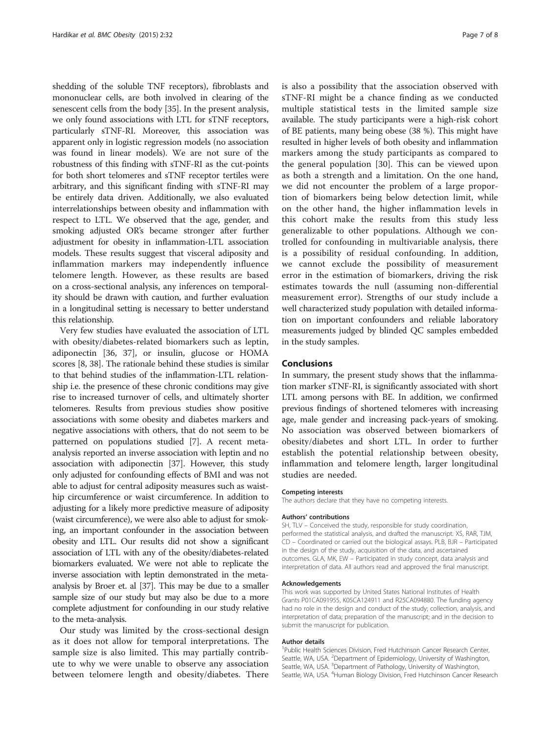shedding of the soluble TNF receptors), fibroblasts and mononuclear cells, are both involved in clearing of the senescent cells from the body [\[35\]](#page-7-0). In the present analysis, we only found associations with LTL for sTNF receptors, particularly sTNF-RI. Moreover, this association was apparent only in logistic regression models (no association was found in linear models). We are not sure of the robustness of this finding with sTNF-RI as the cut-points for both short telomeres and sTNF receptor tertiles were arbitrary, and this significant finding with sTNF-RI may be entirely data driven. Additionally, we also evaluated interrelationships between obesity and inflammation with respect to LTL. We observed that the age, gender, and smoking adjusted OR's became stronger after further adjustment for obesity in inflammation-LTL association models. These results suggest that visceral adiposity and inflammation markers may independently influence telomere length. However, as these results are based on a cross-sectional analysis, any inferences on temporality should be drawn with caution, and further evaluation in a longitudinal setting is necessary to better understand this relationship.

Very few studies have evaluated the association of LTL with obesity/diabetes-related biomarkers such as leptin, adiponectin [\[36](#page-7-0), [37\]](#page-7-0), or insulin, glucose or HOMA scores [\[8](#page-7-0), [38](#page-7-0)]. The rationale behind these studies is similar to that behind studies of the inflammation-LTL relationship i.e. the presence of these chronic conditions may give rise to increased turnover of cells, and ultimately shorter telomeres. Results from previous studies show positive associations with some obesity and diabetes markers and negative associations with others, that do not seem to be patterned on populations studied [[7\]](#page-7-0). A recent metaanalysis reported an inverse association with leptin and no association with adiponectin [\[37\]](#page-7-0). However, this study only adjusted for confounding effects of BMI and was not able to adjust for central adiposity measures such as waisthip circumference or waist circumference. In addition to adjusting for a likely more predictive measure of adiposity (waist circumference), we were also able to adjust for smoking, an important confounder in the association between obesity and LTL. Our results did not show a significant association of LTL with any of the obesity/diabetes-related biomarkers evaluated. We were not able to replicate the inverse association with leptin demonstrated in the metaanalysis by Broer et. al [[37](#page-7-0)]. This may be due to a smaller sample size of our study but may also be due to a more complete adjustment for confounding in our study relative to the meta-analysis.

Our study was limited by the cross-sectional design as it does not allow for temporal interpretations. The sample size is also limited. This may partially contribute to why we were unable to observe any association between telomere length and obesity/diabetes. There

is also a possibility that the association observed with sTNF-RI might be a chance finding as we conducted multiple statistical tests in the limited sample size available. The study participants were a high-risk cohort of BE patients, many being obese (38 %). This might have resulted in higher levels of both obesity and inflammation markers among the study participants as compared to the general population [[30](#page-7-0)]. This can be viewed upon as both a strength and a limitation. On the one hand, we did not encounter the problem of a large proportion of biomarkers being below detection limit, while on the other hand, the higher inflammation levels in this cohort make the results from this study less generalizable to other populations. Although we controlled for confounding in multivariable analysis, there is a possibility of residual confounding. In addition, we cannot exclude the possibility of measurement error in the estimation of biomarkers, driving the risk estimates towards the null (assuming non-differential measurement error). Strengths of our study include a well characterized study population with detailed information on important confounders and reliable laboratory measurements judged by blinded QC samples embedded in the study samples.

### Conclusions

In summary, the present study shows that the inflammation marker sTNF-RI, is significantly associated with short LTL among persons with BE. In addition, we confirmed previous findings of shortened telomeres with increasing age, male gender and increasing pack-years of smoking. No association was observed between biomarkers of obesity/diabetes and short LTL. In order to further establish the potential relationship between obesity, inflammation and telomere length, larger longitudinal studies are needed.

#### Competing interests

The authors declare that they have no competing interests.

#### Authors' contributions

SH, TLV – Conceived the study, responsible for study coordination, performed the statistical analysis, and drafted the manuscript. XS, RAR, TJM, CD – Coordinated or carried out the biological assays. PLB, BJR – Participated in the design of the study, acquisition of the data, and ascertained outcomes. GLA, MK, EW – Participated in study concept, data analysis and interpretation of data. All authors read and approved the final manuscript.

#### Acknowledgements

This work was supported by United States National Institutes of Health Grants P01CA091955, K05CA124911 and R25CA094880. The funding agency had no role in the design and conduct of the study; collection, analysis, and interpretation of data; preparation of the manuscript; and in the decision to submit the manuscript for publication.

#### Author details

<sup>1</sup>Public Health Sciences Division, Fred Hutchinson Cancer Research Center, Seattle, WA, USA. <sup>2</sup>Department of Epidemiology, University of Washington Seattle, WA, USA. <sup>3</sup>Department of Pathology, University of Washington, Seattle, WA, USA. <sup>4</sup>Human Biology Division, Fred Hutchinson Cancer Research